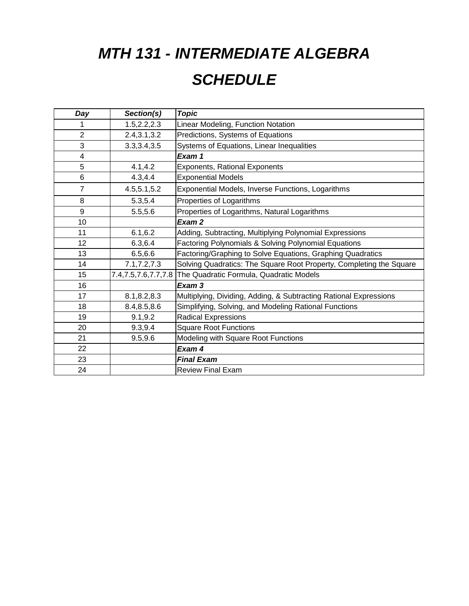# *MTH 131 - INTERMEDIATE ALGEBRA*

# *SCHEDULE*

| Day             | Section(s)          | <b>Topic</b>                                                        |
|-----------------|---------------------|---------------------------------------------------------------------|
| 1               | 1.5, 2.2, 2.3       | Linear Modeling, Function Notation                                  |
| $\overline{2}$  | 2.4, 3.1, 3.2       | Predictions, Systems of Equations                                   |
| 3               | 3.3, 3.4, 3.5       | Systems of Equations, Linear Inequalities                           |
| 4               |                     | Exam 1                                                              |
| 5               | 4.1, 4.2            | Exponents, Rational Exponents                                       |
| 6               | 4.3, 4.4            | <b>Exponential Models</b>                                           |
| $\overline{7}$  | 4.5,5.1,5.2         | Exponential Models, Inverse Functions, Logarithms                   |
| 8               | 5.3,5.4             | Properties of Logarithms                                            |
| 9               | 5.5,5.6             | Properties of Logarithms, Natural Logarithms                        |
| 10              |                     | Exam 2                                                              |
| 11              | 6.1, 6.2            | Adding, Subtracting, Multiplying Polynomial Expressions             |
| 12 <sub>2</sub> | 6.3,6.4             | Factoring Polynomials & Solving Polynomial Equations                |
| 13              | 6.5,6.6             | Factoring/Graphing to Solve Equations, Graphing Quadratics          |
| 14              | 7.1, 7.2, 7.3       | Solving Quadratics: The Square Root Property, Completing the Square |
| 15              | 7.4,7.5,7.6,7.7,7.8 | The Quadratic Formula, Quadratic Models                             |
| 16              |                     | Exam 3                                                              |
| 17              | 8.1,8.2,8.3         | Multiplying, Dividing, Adding, & Subtracting Rational Expressions   |
| 18              | 8.4, 8.5, 8.6       | Simplifying, Solving, and Modeling Rational Functions               |
| 19              | 9.1, 9.2            | <b>Radical Expressions</b>                                          |
| 20              | 9.3,9.4             | <b>Square Root Functions</b>                                        |
| 21              | 9.5,9.6             | Modeling with Square Root Functions                                 |
| 22              |                     | Exam 4                                                              |
| 23              |                     | <b>Final Exam</b>                                                   |
| 24              |                     | <b>Review Final Exam</b>                                            |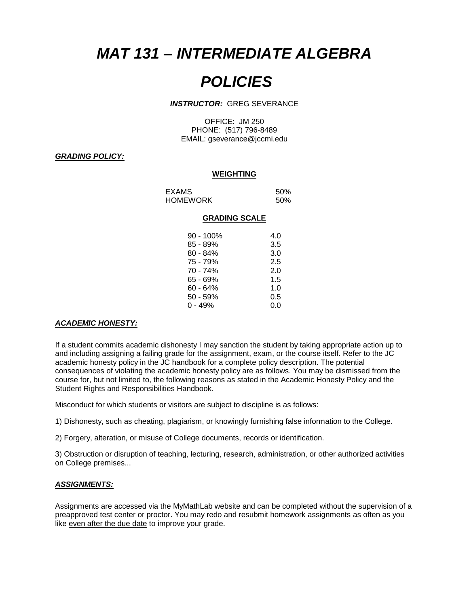## *MAT 131 – INTERMEDIATE ALGEBRA*

## *POLICIES*

#### *INSTRUCTOR:* GREG SEVERANCE

OFFICE: JM 250 PHONE: (517) 796-8489 EMAIL: gseverance@jccmi.edu

## *GRADING POLICY:*

## **WEIGHTING**

| EXAMS    | 50% |
|----------|-----|
| HOMEWORK | 50% |

#### **GRADING SCALE**

| $90 - 100\%$ | 4.0 |
|--------------|-----|
| 85 - 89%     | 3.5 |
| $80 - 84%$   | 3.0 |
| 75 - 79%     | 2.5 |
| 70 - 74%     | 2.0 |
| 65 - 69%     | 1.5 |
| 60 - 64%     | 1.0 |
| 50 - 59%     | 0.5 |
| 0 - 49%      | 0.0 |

#### *ACADEMIC HONESTY:*

If a student commits academic dishonesty I may sanction the student by taking appropriate action up to and including assigning a failing grade for the assignment, exam, or the course itself. Refer to the JC academic honesty policy in the JC handbook for a complete policy description. The potential consequences of violating the academic honesty policy are as follows. You may be dismissed from the course for, but not limited to, the following reasons as stated in the Academic Honesty Policy and the Student Rights and Responsibilities Handbook.

Misconduct for which students or visitors are subject to discipline is as follows:

1) Dishonesty, such as cheating, plagiarism, or knowingly furnishing false information to the College.

2) Forgery, alteration, or misuse of College documents, records or identification.

3) Obstruction or disruption of teaching, lecturing, research, administration, or other authorized activities on College premises...

#### *ASSIGNMENTS:*

Assignments are accessed via the MyMathLab website and can be completed without the supervision of a preapproved test center or proctor. You may redo and resubmit homework assignments as often as you like even after the due date to improve your grade.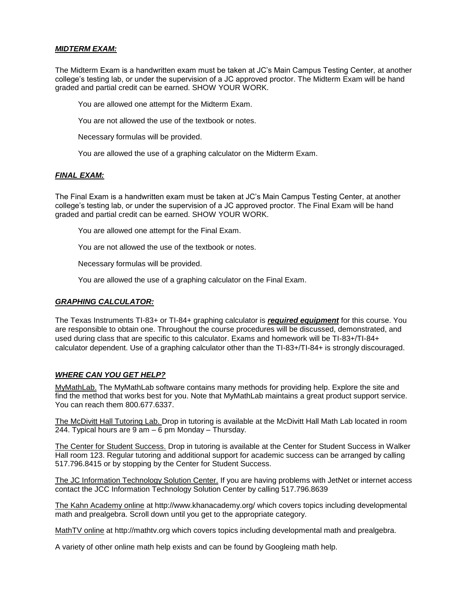## *MIDTERM EXAM:*

The Midterm Exam is a handwritten exam must be taken at JC's Main Campus Testing Center, at another college's testing lab, or under the supervision of a JC approved proctor. The Midterm Exam will be hand graded and partial credit can be earned. SHOW YOUR WORK.

You are allowed one attempt for the Midterm Exam.

You are not allowed the use of the textbook or notes.

Necessary formulas will be provided.

You are allowed the use of a graphing calculator on the Midterm Exam.

## *FINAL EXAM:*

The Final Exam is a handwritten exam must be taken at JC's Main Campus Testing Center, at another college's testing lab, or under the supervision of a JC approved proctor. The Final Exam will be hand graded and partial credit can be earned. SHOW YOUR WORK.

You are allowed one attempt for the Final Exam.

You are not allowed the use of the textbook or notes.

Necessary formulas will be provided.

You are allowed the use of a graphing calculator on the Final Exam.

## *GRAPHING CALCULATOR:*

The Texas Instruments TI-83+ or TI-84+ graphing calculator is *required equipment* for this course. You are responsible to obtain one. Throughout the course procedures will be discussed, demonstrated, and used during class that are specific to this calculator. Exams and homework will be TI-83+/TI-84+ calculator dependent. Use of a graphing calculator other than the TI-83+/TI-84+ is strongly discouraged.

## *WHERE CAN YOU GET HELP?*

MyMathLab. The MyMathLab software contains many methods for providing help. Explore the site and find the method that works best for you. Note that MyMathLab maintains a great product support service. You can reach them 800.677.6337.

The McDivitt Hall Tutoring Lab. Drop in tutoring is available at the McDivitt Hall Math Lab located in room 244. Typical hours are 9 am – 6 pm Monday – Thursday.

The Center for Student Success. Drop in tutoring is available at the Center for Student Success in Walker Hall room 123. Regular tutoring and additional support for academic success can be arranged by calling 517.796.8415 or by stopping by the Center for Student Success.

The JC Information Technology Solution Center. If you are having problems with JetNet or internet access contact the JCC Information Technology Solution Center by calling 517.796.8639

The Kahn Academy online at http://www.khanacademy.org/ which covers topics including developmental math and prealgebra. Scroll down until you get to the appropriate category.

MathTV online at http://mathtv.org which covers topics including developmental math and prealgebra.

A variety of other online math help exists and can be found by Googleing math help.